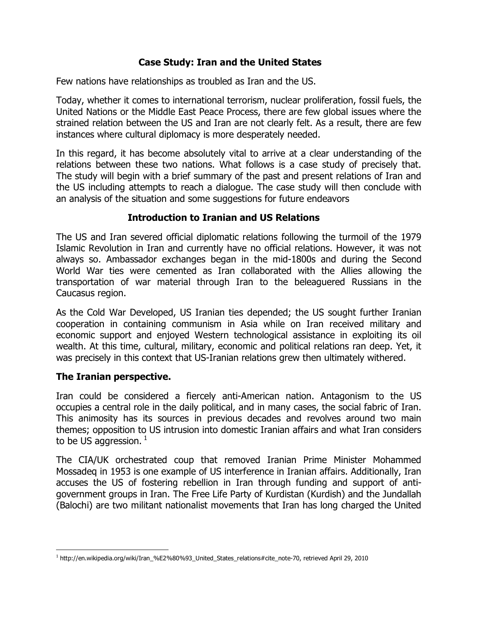## **Case Study: Iran and the United States**

Few nations have relationships as troubled as Iran and the US.

Today, whether it comes to international terrorism, nuclear proliferation, fossil fuels, the United Nations or the Middle East Peace Process, there are few global issues where the strained relation between the US and Iran are not clearly felt. As a result, there are few instances where cultural diplomacy is more desperately needed.

In this regard, it has become absolutely vital to arrive at a clear understanding of the relations between these two nations. What follows is a case study of precisely that. The study will begin with a brief summary of the past and present relations of Iran and the US including attempts to reach a dialogue. The case study will then conclude with an analysis of the situation and some suggestions for future endeavors

### **Introduction to Iranian and US Relations**

The US and Iran severed official diplomatic relations following the turmoil of the 1979 Islamic Revolution in Iran and currently have no official relations. However, it was not always so. Ambassador exchanges began in the mid-1800s and during the Second World War ties were cemented as Iran collaborated with the Allies allowing the transportation of war material through Iran to the beleaguered Russians in the Caucasus region.

As the Cold War Developed, US Iranian ties depended; the US sought further Iranian cooperation in containing communism in Asia while on Iran received military and economic support and enjoyed Western technological assistance in exploiting its oil wealth. At this time, cultural, military, economic and political relations ran deep. Yet, it was precisely in this context that US-Iranian relations grew then ultimately withered.

### **The Iranian perspective.**

 $\overline{a}$ 

Iran could be considered a fiercely anti-American nation. Antagonism to the US occupies a central role in the daily political, and in many cases, the social fabric of Iran. This animosity has its sources in previous decades and revolves around two main themes; opposition to US intrusion into domestic Iranian affairs and what Iran considers to be US aggression. $<sup>1</sup>$ </sup>

The CIA/UK orchestrated coup that removed Iranian Prime Minister Mohammed Mossadeq in 1953 is one example of US interference in Iranian affairs. Additionally, Iran accuses the US of fostering rebellion in Iran through funding and support of antigovernment groups in Iran. The Free Life Party of Kurdistan (Kurdish) and the Jundallah (Balochi) are two militant nationalist movements that Iran has long charged the United

<sup>1</sup> http://en.wikipedia.org/wiki/Iran\_%E2%80%93\_United\_States\_relations#cite\_note-70, retrieved April 29, 2010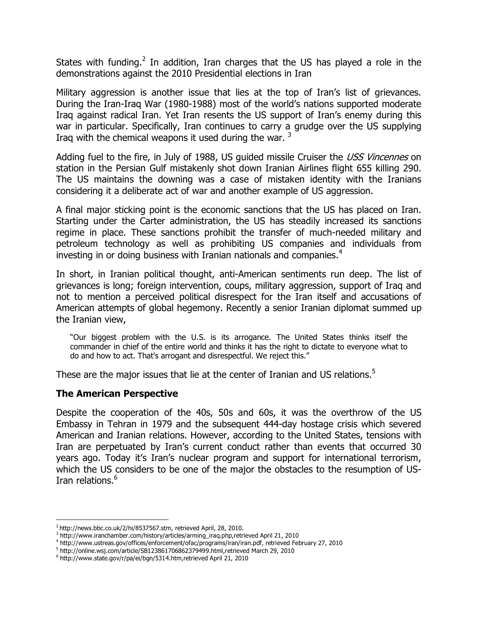States with funding.<sup>2</sup> In addition, Iran charges that the US has played a role in the demonstrations against the 2010 Presidential elections in Iran

Military aggression is another issue that lies at the top of Iran's list of grievances. During the Iran-Iraq War (1980-1988) most of the world's nations supported moderate Iraq against radical Iran. Yet Iran resents the US support of Iran's enemy during this war in particular. Specifically, Iran continues to carry a grudge over the US supplying Iraq with the chemical weapons it used during the war.  $3$ 

Adding fuel to the fire, in July of 1988, US guided missile Cruiser the *USS Vincennes* on station in the Persian Gulf mistakenly shot down Iranian Airlines flight 655 killing 290. The US maintains the downing was a case of mistaken identity with the Iranians considering it a deliberate act of war and another example of US aggression.

A final major sticking point is the economic sanctions that the US has placed on Iran. Starting under the Carter administration, the US has steadily increased its sanctions regime in place. These sanctions prohibit the transfer of much-needed military and petroleum technology as well as prohibiting US companies and individuals from investing in or doing business with Iranian nationals and companies.<sup>4</sup>

In short, in Iranian political thought, anti-American sentiments run deep. The list of grievances is long; foreign intervention, coups, military aggression, support of Iraq and not to mention a perceived political disrespect for the Iran itself and accusations of American attempts of global hegemony. Recently a senior Iranian diplomat summed up the Iranian view,

"Our biggest problem with the U.S. is its arrogance. The United States thinks itself the commander in chief of the entire world and thinks it has the right to dictate to everyone what to do and how to act. That's arrogant and disrespectful. We reject this."

These are the major issues that lie at the center of Iranian and US relations.<sup>5</sup>

### **The American Perspective**

 $\overline{a}$ 

Despite the cooperation of the 40s, 50s and 60s, it was the overthrow of the US Embassy in Tehran in 1979 and the subsequent 444-day hostage crisis which severed American and Iranian relations. However, according to the United States, tensions with Iran are perpetuated by Iran's current conduct rather than events that occurred 30 years ago. Today it's Iran's nuclear program and support for international terrorism, which the US considers to be one of the major the obstacles to the resumption of US-Iran relations.<sup>6</sup>

 $2$  http://news.bbc.co.uk/2/hi/8537567.stm, retrieved April, 28, 2010.

<sup>&</sup>lt;sup>3</sup> http://www.iranchamber.com/history/articles/arming\_iraq.php,retrieved April 21, 2010

<sup>4</sup> http://www.ustreas.gov/offices/enforcement/ofac/programs/iran/iran.pdf, retrieved February 27, 2010

<sup>&</sup>lt;sup>5</sup> http://online.wsj.com/article/SB123861706862379499.html,retrieved March 29, 2010

<sup>6</sup> http://www.state.gov/r/pa/ei/bgn/5314.htm,retrieved April 21, 2010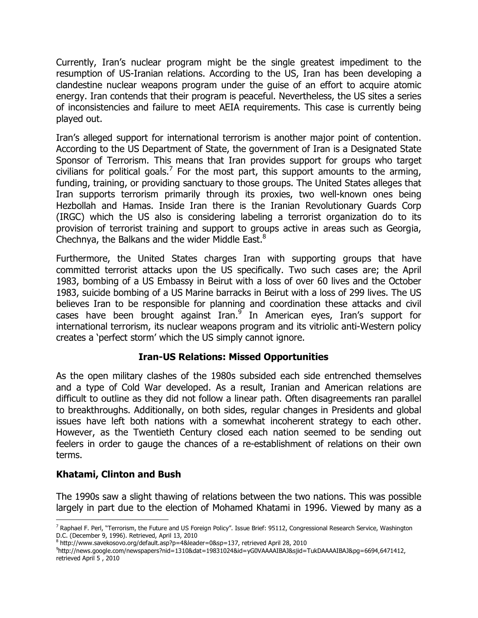Currently, Iran's nuclear program might be the single greatest impediment to the resumption of US-Iranian relations. According to the US, Iran has been developing a clandestine nuclear weapons program under the guise of an effort to acquire atomic energy. Iran contends that their program is peaceful. Nevertheless, the US sites a series of inconsistencies and failure to meet AEIA requirements. This case is currently being played out.

Iran's alleged support for international terrorism is another major point of contention. According to the US Department of State, the government of Iran is a Designated State Sponsor of Terrorism. This means that Iran provides support for groups who target civilians for political goals.<sup>7</sup> For the most part, this support amounts to the arming, funding, training, or providing sanctuary to those groups. The United States alleges that Iran supports terrorism primarily through its proxies, two well-known ones being Hezbollah and Hamas. Inside Iran there is the Iranian Revolutionary Guards Corp (IRGC) which the US also is considering labeling a terrorist organization do to its provision of terrorist training and support to groups active in areas such as Georgia, Chechnya, the Balkans and the wider Middle East. $8$ 

Furthermore, the United States charges Iran with supporting groups that have committed terrorist attacks upon the US specifically. Two such cases are; the April 1983, bombing of a US Embassy in Beirut with a loss of over 60 lives and the October 1983, suicide bombing of a US Marine barracks in Beirut with a loss of 299 lives. The US believes Iran to be responsible for planning and coordination these attacks and civil cases have been brought against Iran.<sup>9</sup> In American eyes, Iran's support for international terrorism, its nuclear weapons program and its vitriolic anti-Western policy creates a 'perfect storm' which the US simply cannot ignore.

# **Iran-US Relations: Missed Opportunities**

As the open military clashes of the 1980s subsided each side entrenched themselves and a type of Cold War developed. As a result, Iranian and American relations are difficult to outline as they did not follow a linear path. Often disagreements ran parallel to breakthroughs. Additionally, on both sides, regular changes in Presidents and global issues have left both nations with a somewhat incoherent strategy to each other. However, as the Twentieth Century closed each nation seemed to be sending out feelers in order to gauge the chances of a re-establishment of relations on their own terms.

# **Khatami, Clinton and Bush**

 $\overline{a}$ 

The 1990s saw a slight thawing of relations between the two nations. This was possible largely in part due to the election of Mohamed Khatami in 1996. Viewed by many as a

<sup>&</sup>lt;sup>7</sup> Raphael F. Perl, "Terrorism, the Future and US Foreign Policy". Issue Brief: 95112, Congressional Research Service, Washington D.C. (December 9, 1996). Retrieved, April 13, 2010

<sup>&</sup>lt;sup>8</sup> http://www.savekosovo.org/default.asp?p=4&leader=0&sp=137, retrieved April 28, 2010

<sup>9</sup> http://news.google.com/newspapers?nid=1310&dat=19831024&id=yG0VAAAAIBAJ&sjid=TukDAAAAIBAJ&pg=6694,6471412, retrieved April 5 , 2010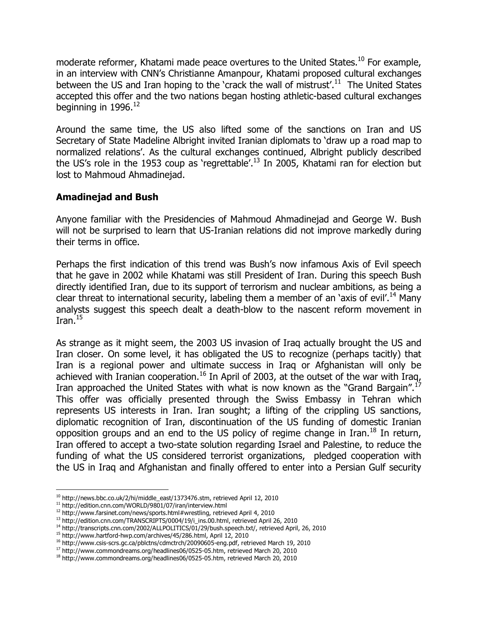moderate reformer, Khatami made peace overtures to the United States.<sup>10</sup> For example, in an interview with CNN's Christianne Amanpour, Khatami proposed cultural exchanges between the US and Iran hoping to the 'crack the wall of mistrust'.<sup>11</sup> The United States accepted this offer and the two nations began hosting athletic-based cultural exchanges beginning in  $1996.<sup>12</sup>$ 

Around the same time, the US also lifted some of the sanctions on Iran and US Secretary of State Madeline Albright invited Iranian diplomats to 'draw up a road map to normalized relations'. As the cultural exchanges continued, Albright publicly described the US's role in the 1953 coup as 'regrettable'.<sup>13</sup> In 2005, Khatami ran for election but lost to Mahmoud Ahmadinejad.

### **Amadinejad and Bush**

Anyone familiar with the Presidencies of Mahmoud Ahmadinejad and George W. Bush will not be surprised to learn that US-Iranian relations did not improve markedly during their terms in office.

Perhaps the first indication of this trend was Bush's now infamous Axis of Evil speech that he gave in 2002 while Khatami was still President of Iran. During this speech Bush directly identified Iran, due to its support of terrorism and nuclear ambitions, as being a clear threat to international security, labeling them a member of an 'axis of evil'.<sup>14</sup> Many analysts suggest this speech dealt a death-blow to the nascent reform movement in Iran. $15$ 

As strange as it might seem, the 2003 US invasion of Iraq actually brought the US and Iran closer. On some level, it has obligated the US to recognize (perhaps tacitly) that Iran is a regional power and ultimate success in Iraq or Afghanistan will only be achieved with Iranian cooperation.<sup>16</sup> In April of 2003, at the outset of the war with Iraq, Iran approached the United States with what is now known as the "Grand Bargain".<sup>1</sup> This offer was officially presented through the Swiss Embassy in Tehran which represents US interests in Iran. Iran sought; a lifting of the crippling US sanctions, diplomatic recognition of Iran, discontinuation of the US funding of domestic Iranian opposition groups and an end to the US policy of regime change in Iran.<sup>18</sup> In return, Iran offered to accept a two-state solution regarding Israel and Palestine, to reduce the funding of what the US considered terrorist organizations, pledged cooperation with the US in Iraq and Afghanistan and finally offered to enter into a Persian Gulf security

<sup>10</sup> http://news.bbc.co.uk/2/hi/middle\_east/1373476.stm, retrieved April 12, 2010

l

<sup>11</sup> http://edition.cnn.com/WORLD/9801/07/iran/interview.html

<sup>&</sup>lt;sup>12</sup> http://www.farsinet.com/news/sports.html#wrestling, retrieved April 4, 2010

 $13$  http://edition.cnn.com/TRANSCRIPTS/0004/19/i\_ins.00.html, retrieved April 26, 2010

<sup>&</sup>lt;sup>14</sup> http://transcripts.cnn.com/2002/ALLPOLITICS/01/29/bush.speech.txt/, retrieved April, 26, 2010

<sup>15</sup> http://www.hartford-hwp.com/archives/45/286.html, April 12, 2010

<sup>&</sup>lt;sup>16</sup> http://www.csis-scrs.gc.ca/pblctns/cdmctrch/20090605-eng.pdf, retrieved March 19, 2010

<sup>&</sup>lt;sup>17</sup> http://www.commondreams.org/headlines06/0525-05.htm, retrieved March 20, 2010

<sup>&</sup>lt;sup>18</sup> http://www.commondreams.org/headlines06/0525-05.htm, retrieved March 20, 2010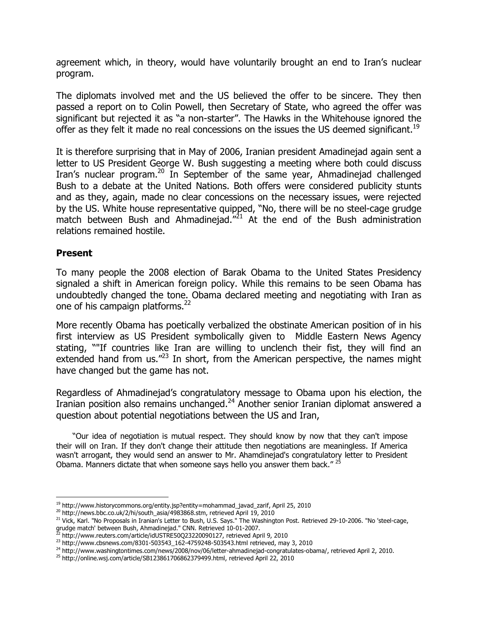agreement which, in theory, would have voluntarily brought an end to Iran's nuclear program.

The diplomats involved met and the US believed the offer to be sincere. They then passed a report on to Colin Powell, then Secretary of State, who agreed the offer was significant but rejected it as "a non-starter". The Hawks in the Whitehouse ignored the offer as they felt it made no real concessions on the issues the US deemed significant.<sup>19</sup>

It is therefore surprising that in May of 2006, Iranian president Amadinejad again sent a letter to US President George W. Bush suggesting a meeting where both could discuss Iran's nuclear program.<sup>20</sup> In September of the same year, Ahmadinejad challenged Bush to a debate at the United Nations. Both offers were considered publicity stunts and as they, again, made no clear concessions on the necessary issues, were rejected by the US. White house representative quipped, "No, there will be no steel-cage grudge match between Bush and Ahmadinejad. $n^2$ <sup>1</sup> At the end of the Bush administration relations remained hostile.

#### **Present**

l

To many people the 2008 election of Barak Obama to the United States Presidency signaled a shift in American foreign policy. While this remains to be seen Obama has undoubtedly changed the tone. Obama declared meeting and negotiating with Iran as one of his campaign platforms.<sup>22</sup>

More recently Obama has poetically verbalized the obstinate American position of in his first interview as US President symbolically given to Middle Eastern News Agency stating, ""If countries like Iran are willing to unclench their fist, they will find an extended hand from us.<sup>"23</sup> In short, from the American perspective, the names might have changed but the game has not.

Regardless of Ahmadinejad's congratulatory message to Obama upon his election, the Iranian position also remains unchanged.<sup>24</sup> Another senior Iranian diplomat answered a question about potential negotiations between the US and Iran,

 "Our idea of negotiation is mutual respect. They should know by now that they can't impose their will on Iran. If they don't change their attitude then negotiations are meaningless. If America wasn't arrogant, they would send an answer to Mr. Ahamdinejad's congratulatory letter to President Obama. Manners dictate that when someone says hello you answer them back."  $^{25}$ 

<sup>&</sup>lt;sup>19</sup> http://www.historycommons.org/entity.jsp?entity=mohammad\_javad\_zarif, April 25, 2010

<sup>&</sup>lt;sup>20</sup> http://news.bbc.co.uk/2/hi/south\_asia/4983868.stm, retrieved April 19, 2010

<sup>&</sup>lt;sup>21</sup> Vick, Karl. "No Proposals in Iranian's Letter to Bush, U.S. Says." The Washington Post. Retrieved 29-10-2006. "No 'steel-cage, grudge match' between Bush, Ahmadinejad." CNN. Retrieved 10-01-2007.<br><sup>22</sup> http://turus.com/thesity.com/thesity.com/thesity.com/thesity.com/thesity.com/thesity.com/thesity.com/thesit

<sup>22</sup> http://www.reuters.com/article/idUSTRE50Q23220090127, retrieved April 9, 2010

<sup>23</sup> http://www.cbsnews.com/8301-503543\_162-4759248-503543.html retrieved, may 3, 2010

<sup>&</sup>lt;sup>24</sup> http://www.washingtontimes.com/news/2008/nov/06/letter-ahmadinejad-congratulates-obama/, retrieved April 2, 2010.

<sup>25</sup> http://online.wsj.com/article/SB123861706862379499.html, retrieved April 22, 2010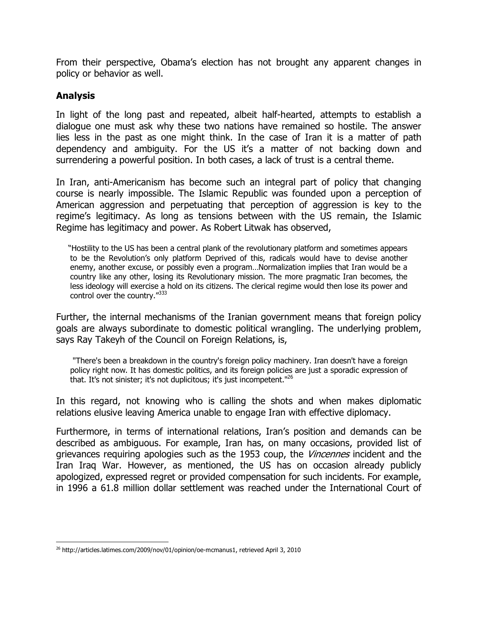From their perspective, Obama's election has not brought any apparent changes in policy or behavior as well.

### **Analysis**

 $\overline{a}$ 

In light of the long past and repeated, albeit half-hearted, attempts to establish a dialogue one must ask why these two nations have remained so hostile. The answer lies less in the past as one might think. In the case of Iran it is a matter of path dependency and ambiguity. For the US it's a matter of not backing down and surrendering a powerful position. In both cases, a lack of trust is a central theme.

In Iran, anti-Americanism has become such an integral part of policy that changing course is nearly impossible. The Islamic Republic was founded upon a perception of American aggression and perpetuating that perception of aggression is key to the regime's legitimacy. As long as tensions between with the US remain, the Islamic Regime has legitimacy and power. As Robert Litwak has observed,

 "Hostility to the US has been a central plank of the revolutionary platform and sometimes appears to be the Revolution's only platform Deprived of this, radicals would have to devise another enemy, another excuse, or possibly even a program…Normalization implies that Iran would be a country like any other, losing its Revolutionary mission. The more pragmatic Iran becomes, the less ideology will exercise a hold on its citizens. The clerical regime would then lose its power and control over the country."<sup>333</sup>

Further, the internal mechanisms of the Iranian government means that foreign policy goals are always subordinate to domestic political wrangling. The underlying problem, says Ray Takeyh of the Council on Foreign Relations, is,

 "There's been a breakdown in the country's foreign policy machinery. Iran doesn't have a foreign policy right now. It has domestic politics, and its foreign policies are just a sporadic expression of that. It's not sinister; it's not duplicitous; it's just incompetent."<sup>26</sup>

In this regard, not knowing who is calling the shots and when makes diplomatic relations elusive leaving America unable to engage Iran with effective diplomacy.

Furthermore, in terms of international relations, Iran's position and demands can be described as ambiguous. For example, Iran has, on many occasions, provided list of grievances requiring apologies such as the 1953 coup, the *Vincennes* incident and the Iran Iraq War. However, as mentioned, the US has on occasion already publicly apologized, expressed regret or provided compensation for such incidents. For example, in 1996 a 61.8 million dollar settlement was reached under the International Court of

<sup>&</sup>lt;sup>26</sup> http://articles.latimes.com/2009/nov/01/opinion/oe-mcmanus1, retrieved April 3, 2010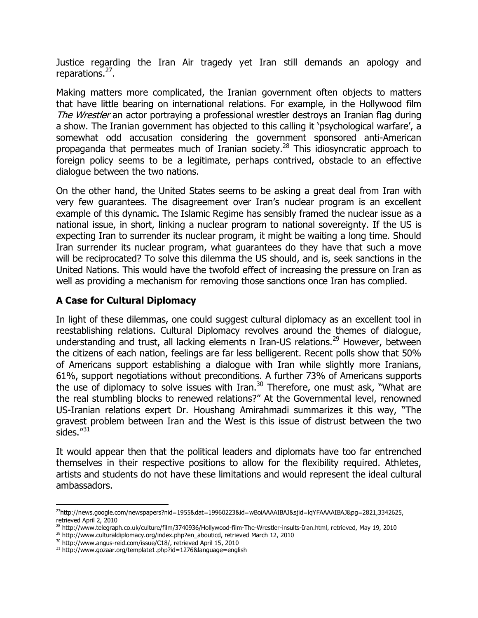Justice regarding the Iran Air tragedy yet Iran still demands an apology and reparations.<sup>27</sup>.

Making matters more complicated, the Iranian government often objects to matters that have little bearing on international relations. For example, in the Hollywood film The Wrestler an actor portraying a professional wrestler destroys an Iranian flag during a show. The Iranian government has objected to this calling it 'psychological warfare', a somewhat odd accusation considering the government sponsored anti-American propaganda that permeates much of Iranian society.<sup>28</sup> This idiosyncratic approach to foreign policy seems to be a legitimate, perhaps contrived, obstacle to an effective dialogue between the two nations.

On the other hand, the United States seems to be asking a great deal from Iran with very few guarantees. The disagreement over Iran's nuclear program is an excellent example of this dynamic. The Islamic Regime has sensibly framed the nuclear issue as a national issue, in short, linking a nuclear program to national sovereignty. If the US is expecting Iran to surrender its nuclear program, it might be waiting a long time. Should Iran surrender its nuclear program, what guarantees do they have that such a move will be reciprocated? To solve this dilemma the US should, and is, seek sanctions in the United Nations. This would have the twofold effect of increasing the pressure on Iran as well as providing a mechanism for removing those sanctions once Iran has complied.

### **A Case for Cultural Diplomacy**

In light of these dilemmas, one could suggest cultural diplomacy as an excellent tool in reestablishing relations. Cultural Diplomacy revolves around the themes of dialogue, understanding and trust, all lacking elements n Iran-US relations.<sup>29</sup> However, between the citizens of each nation, feelings are far less belligerent. Recent polls show that 50% of Americans support establishing a dialogue with Iran while slightly more Iranians, 61%, support negotiations without preconditions. A further 73% of Americans supports the use of diplomacy to solve issues with Iran. $30$  Therefore, one must ask, "What are the real stumbling blocks to renewed relations?" At the Governmental level, renowned US-Iranian relations expert Dr. Houshang Amirahmadi summarizes it this way, "The gravest problem between Iran and the West is this issue of distrust between the two sides."31

It would appear then that the political leaders and diplomats have too far entrenched themselves in their respective positions to allow for the flexibility required. Athletes, artists and students do not have these limitations and would represent the ideal cultural ambassadors.

 $\overline{a}$ 

<sup>27</sup>http://news.google.com/newspapers?nid=1955&dat=19960223&id=wBoiAAAAIBAJ&sjid=lqYFAAAAIBAJ&pg=2821,3342625, retrieved April 2, 2010

<sup>28</sup> http://www.telegraph.co.uk/culture/film/3740936/Hollywood-film-The-Wrestler-insults-Iran.html, retrieved, May 19, 2010

<sup>&</sup>lt;sup>29</sup> http://www.culturaldiplomacy.org/index.php?en\_abouticd, retrieved March 12, 2010

<sup>30</sup> http://www.angus-reid.com/issue/C18/, retrieved April 15, 2010

<sup>31</sup> http://www.gozaar.org/template1.php?id=1276&language=english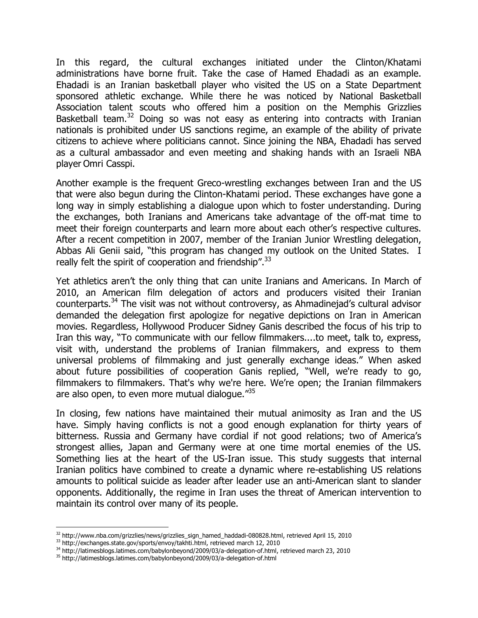In this regard, the cultural exchanges initiated under the Clinton/Khatami administrations have borne fruit. Take the case of Hamed Ehadadi as an example. Ehadadi is an Iranian basketball player who visited the US on a State Department sponsored athletic exchange. While there he was noticed by National Basketball Association talent scouts who offered him a position on the Memphis Grizzlies Basketball team.<sup>32</sup> Doing so was not easy as entering into contracts with Iranian nationals is prohibited under US sanctions regime, an example of the ability of private citizens to achieve where politicians cannot. Since joining the NBA, Ehadadi has served as a cultural ambassador and even meeting and shaking hands with an Israeli NBA player Omri Casspi.

Another example is the frequent Greco-wrestling exchanges between Iran and the US that were also begun during the Clinton-Khatami period. These exchanges have gone a long way in simply establishing a dialogue upon which to foster understanding. During the exchanges, both Iranians and Americans take advantage of the off-mat time to meet their foreign counterparts and learn more about each other's respective cultures. After a recent competition in 2007, member of the Iranian Junior Wrestling delegation, Abbas Ali Genii said, "this program has changed my outlook on the United States. I really felt the spirit of cooperation and friendship".<sup>33</sup>

Yet athletics aren't the only thing that can unite Iranians and Americans. In March of 2010, an American film delegation of actors and producers visited their Iranian counterparts.<sup>34</sup> The visit was not without controversy, as Ahmadinejad's cultural advisor demanded the delegation first apologize for negative depictions on Iran in American movies. Regardless, Hollywood Producer Sidney Ganis described the focus of his trip to Iran this way, "To communicate with our fellow filmmakers....to meet, talk to, express, visit with, understand the problems of Iranian filmmakers, and express to them universal problems of filmmaking and just generally exchange ideas." When asked about future possibilities of cooperation Ganis replied, "Well, we're ready to go, filmmakers to filmmakers. That's why we're here. We're open; the Iranian filmmakers are also open, to even more mutual dialoque."<sup>35</sup>

In closing, few nations have maintained their mutual animosity as Iran and the US have. Simply having conflicts is not a good enough explanation for thirty years of bitterness. Russia and Germany have cordial if not good relations; two of America's strongest allies, Japan and Germany were at one time mortal enemies of the US. Something lies at the heart of the US-Iran issue. This study suggests that internal Iranian politics have combined to create a dynamic where re-establishing US relations amounts to political suicide as leader after leader use an anti-American slant to slander opponents. Additionally, the regime in Iran uses the threat of American intervention to maintain its control over many of its people.

l

<sup>34</sup> http://latimesblogs.latimes.com/babylonbeyond/2009/03/a-delegation-of.html, retrieved march 23, 2010

<sup>32</sup> http://www.nba.com/grizzlies/news/grizzlies\_sign\_hamed\_haddadi-080828.html, retrieved April 15, 2010

<sup>33</sup> http://exchanges.state.gov/sports/envoy/takhti.html, retrieved march 12, 2010

<sup>35</sup> http://latimesblogs.latimes.com/babylonbeyond/2009/03/a-delegation-of.html